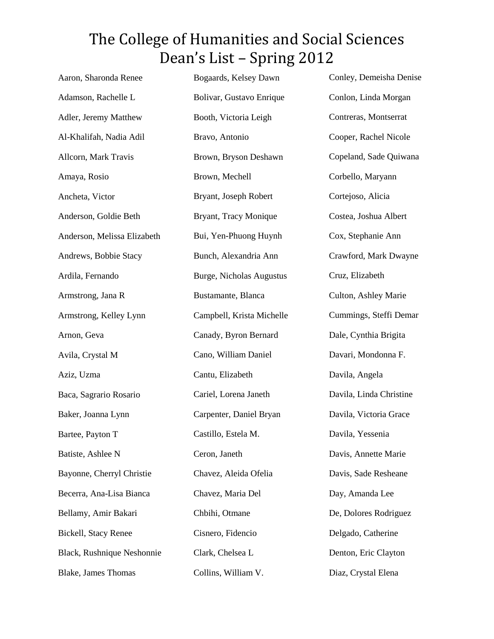| Aaron, Sharonda Renee       | Bogaards, Kelsey Dawn           | Conley, Demeisha Denise |
|-----------------------------|---------------------------------|-------------------------|
| Adamson, Rachelle L         | Bolivar, Gustavo Enrique        | Conlon, Linda Morgan    |
| Adler, Jeremy Matthew       | Booth, Victoria Leigh           | Contreras, Montserrat   |
| Al-Khalifah, Nadia Adil     | Bravo, Antonio                  | Cooper, Rachel Nicole   |
| Allcorn, Mark Travis        | Brown, Bryson Deshawn           | Copeland, Sade Quiwana  |
| Amaya, Rosio                | Brown, Mechell                  | Corbello, Maryann       |
| Ancheta, Victor             | Bryant, Joseph Robert           | Cortejoso, Alicia       |
| Anderson, Goldie Beth       | Bryant, Tracy Monique           | Costea, Joshua Albert   |
| Anderson, Melissa Elizabeth | Bui, Yen-Phuong Huynh           | Cox, Stephanie Ann      |
| Andrews, Bobbie Stacy       | Bunch, Alexandria Ann           | Crawford, Mark Dwayne   |
| Ardila, Fernando            | <b>Burge, Nicholas Augustus</b> | Cruz, Elizabeth         |
| Armstrong, Jana R           | Bustamante, Blanca              | Culton, Ashley Marie    |
| Armstrong, Kelley Lynn      | Campbell, Krista Michelle       | Cummings, Steffi Demar  |
| Arnon, Geva                 | Canady, Byron Bernard           | Dale, Cynthia Brigita   |
| Avila, Crystal M            | Cano, William Daniel            | Davari, Mondonna F.     |
| Aziz, Uzma                  | Cantu, Elizabeth                | Davila, Angela          |
| Baca, Sagrario Rosario      | Cariel, Lorena Janeth           | Davila, Linda Christine |
| Baker, Joanna Lynn          | Carpenter, Daniel Bryan         | Davila, Victoria Grace  |
| Bartee, Payton T            | Castillo, Estela M.             | Davila, Yessenia        |
| Batiste, Ashlee N           | Ceron, Janeth                   | Davis, Annette Marie    |
| Bayonne, Cherryl Christie   | Chavez, Aleida Ofelia           | Davis, Sade Resheane    |
| Becerra, Ana-Lisa Bianca    | Chavez, Maria Del               | Day, Amanda Lee         |
| Bellamy, Amir Bakari        | Chbihi, Otmane                  | De, Dolores Rodriguez   |
| Bickell, Stacy Renee        | Cisnero, Fidencio               | Delgado, Catherine      |
| Black, Rushnique Neshonnie  | Clark, Chelsea L                | Denton, Eric Clayton    |
| <b>Blake, James Thomas</b>  | Collins, William V.             | Diaz, Crystal Elena     |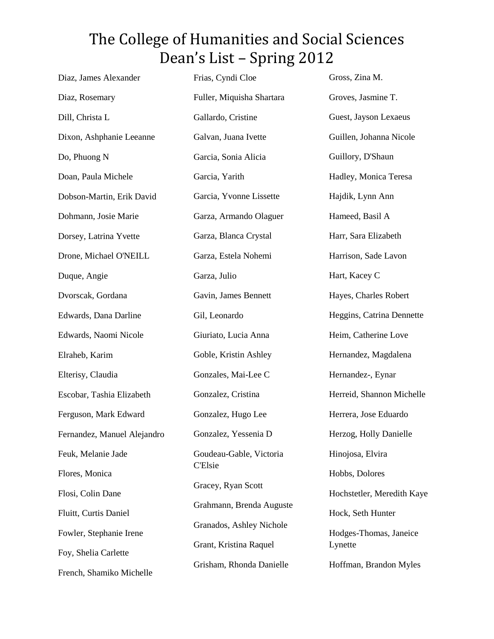| Diaz, James Alexander       | Frias, Cyndi Cloe         | Gross, Zina M.             |
|-----------------------------|---------------------------|----------------------------|
| Diaz, Rosemary              | Fuller, Miquisha Shartara | Groves, Jasmine T.         |
| Dill, Christa L             | Gallardo, Cristine        | Guest, Jayson Lexaeus      |
| Dixon, Ashphanie Leeanne    | Galvan, Juana Ivette      | Guillen, Johanna Nicole    |
| Do, Phuong N                | Garcia, Sonia Alicia      | Guillory, D'Shaun          |
| Doan, Paula Michele         | Garcia, Yarith            | Hadley, Monica Teresa      |
| Dobson-Martin, Erik David   | Garcia, Yvonne Lissette   | Hajdik, Lynn Ann           |
| Dohmann, Josie Marie        | Garza, Armando Olaguer    | Hameed, Basil A            |
| Dorsey, Latrina Yvette      | Garza, Blanca Crystal     | Harr, Sara Elizabeth       |
| Drone, Michael O'NEILL      | Garza, Estela Nohemi      | Harrison, Sade Lavon       |
| Duque, Angie                | Garza, Julio              | Hart, Kacey C              |
| Dvorscak, Gordana           | Gavin, James Bennett      | Hayes, Charles Robert      |
| Edwards, Dana Darline       | Gil, Leonardo             | Heggins, Catrina Dennette  |
| Edwards, Naomi Nicole       | Giuriato, Lucia Anna      | Heim, Catherine Love       |
| Elraheb, Karim              | Goble, Kristin Ashley     | Hernandez, Magdalena       |
| Elterisy, Claudia           | Gonzales, Mai-Lee C       | Hernandez-, Eynar          |
| Escobar, Tashia Elizabeth   | Gonzalez, Cristina        | Herreid, Shannon Michelle  |
| Ferguson, Mark Edward       | Gonzalez, Hugo Lee        | Herrera, Jose Eduardo      |
| Fernandez, Manuel Alejandro | Gonzalez, Yessenia D      | Herzog, Holly Danielle     |
| Feuk, Melanie Jade          | Goudeau-Gable, Victoria   | Hinojosa, Elvira           |
| Flores, Monica              | <b>C'Elsie</b>            | Hobbs, Dolores             |
| Flosi, Colin Dane           | Gracey, Ryan Scott        | Hochstetler, Meredith Kaye |
| Fluitt, Curtis Daniel       | Grahmann, Brenda Auguste  | Hock, Seth Hunter          |
| Fowler, Stephanie Irene     | Granados, Ashley Nichole  | Hodges-Thomas, Janeice     |
| Foy, Shelia Carlette        | Grant, Kristina Raquel    | Lynette                    |
| French, Shamiko Michelle    | Grisham, Rhonda Danielle  | Hoffman, Brandon Myles     |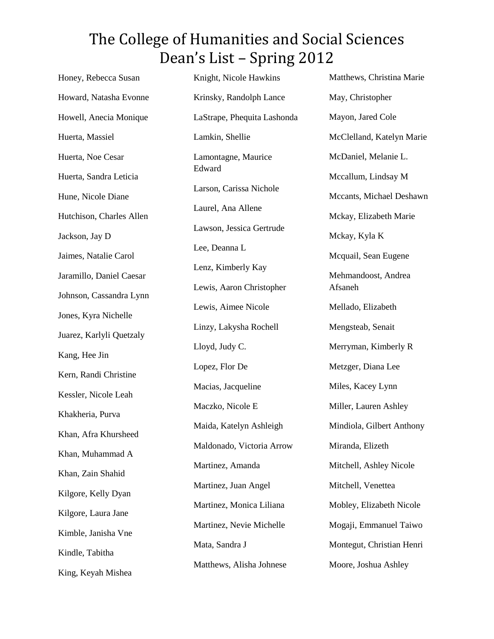| Honey, Rebecca Susan     | Knight, Nicole Hawkins      | Matthews, Christina Marie |
|--------------------------|-----------------------------|---------------------------|
| Howard, Natasha Evonne   | Krinsky, Randolph Lance     | May, Christopher          |
| Howell, Anecia Monique   | LaStrape, Phequita Lashonda | Mayon, Jared Cole         |
| Huerta, Massiel          | Lamkin, Shellie             | McClelland, Katelyn Marie |
| Huerta, Noe Cesar        | Lamontagne, Maurice         | McDaniel, Melanie L.      |
| Huerta, Sandra Leticia   | Edward                      | Mccallum, Lindsay M       |
| Hune, Nicole Diane       | Larson, Carissa Nichole     | Mccants, Michael Deshawn  |
| Hutchison, Charles Allen | Laurel, Ana Allene          | Mckay, Elizabeth Marie    |
| Jackson, Jay D           | Lawson, Jessica Gertrude    | Mckay, Kyla K             |
| Jaimes, Natalie Carol    | Lee, Deanna L               | Mcquail, Sean Eugene      |
| Jaramillo, Daniel Caesar | Lenz, Kimberly Kay          | Mehmandoost, Andrea       |
| Johnson, Cassandra Lynn  | Lewis, Aaron Christopher    | Afsaneh                   |
| Jones, Kyra Nichelle     | Lewis, Aimee Nicole         | Mellado, Elizabeth        |
| Juarez, Karlyli Quetzaly | Linzy, Lakysha Rochell      | Mengsteab, Senait         |
| Kang, Hee Jin            | Lloyd, Judy C.              | Merryman, Kimberly R      |
| Kern, Randi Christine    | Lopez, Flor De              | Metzger, Diana Lee        |
| Kessler, Nicole Leah     | Macias, Jacqueline          | Miles, Kacey Lynn         |
| Khakheria, Purva         | Maczko, Nicole E            | Miller, Lauren Ashley     |
| Khan, Afra Khursheed     | Maida, Katelyn Ashleigh     | Mindiola, Gilbert Anthony |
| Khan, Muhammad A         | Maldonado, Victoria Arrow   | Miranda, Elizeth          |
| Khan, Zain Shahid        | Martinez, Amanda            | Mitchell, Ashley Nicole   |
| Kilgore, Kelly Dyan      | Martinez, Juan Angel        | Mitchell, Venettea        |
| Kilgore, Laura Jane      | Martinez, Monica Liliana    | Mobley, Elizabeth Nicole  |
|                          | Martinez, Nevie Michelle    | Mogaji, Emmanuel Taiwo    |
| Kimble, Janisha Vne      | Mata, Sandra J              | Montegut, Christian Henri |
| Kindle, Tabitha          | Matthews, Alisha Johnese    | Moore, Joshua Ashley      |
| King, Keyah Mishea       |                             |                           |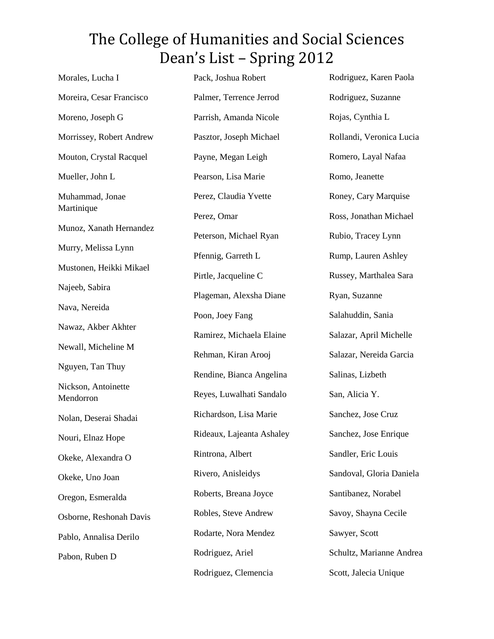| Morales, Lucha I                 | Pack, Joshua Robert       | Rodriguez, Karen Paola   |
|----------------------------------|---------------------------|--------------------------|
| Moreira, Cesar Francisco         | Palmer, Terrence Jerrod   | Rodriguez, Suzanne       |
| Moreno, Joseph G                 | Parrish, Amanda Nicole    | Rojas, Cynthia L         |
| Morrissey, Robert Andrew         | Pasztor, Joseph Michael   | Rollandi, Veronica Lucia |
| Mouton, Crystal Racquel          | Payne, Megan Leigh        | Romero, Layal Nafaa      |
| Mueller, John L                  | Pearson, Lisa Marie       | Romo, Jeanette           |
| Muhammad, Jonae                  | Perez, Claudia Yvette     | Roney, Cary Marquise     |
| Martinique                       | Perez, Omar               | Ross, Jonathan Michael   |
| Munoz, Xanath Hernandez          | Peterson, Michael Ryan    | Rubio, Tracey Lynn       |
| Murry, Melissa Lynn              | Pfennig, Garreth L        | Rump, Lauren Ashley      |
| Mustonen, Heikki Mikael          | Pirtle, Jacqueline C      | Russey, Marthalea Sara   |
| Najeeb, Sabira                   | Plageman, Alexsha Diane   | Ryan, Suzanne            |
| Nava, Nereida                    | Poon, Joey Fang           | Salahuddin, Sania        |
| Nawaz, Akber Akhter              | Ramirez, Michaela Elaine  | Salazar, April Michelle  |
| Newall, Micheline M              | Rehman, Kiran Arooj       | Salazar, Nereida Garcia  |
| Nguyen, Tan Thuy                 | Rendine, Bianca Angelina  | Salinas, Lizbeth         |
| Nickson, Antoinette<br>Mendorron | Reyes, Luwalhati Sandalo  | San, Alicia Y.           |
| Nolan, Deserai Shadai            | Richardson, Lisa Marie    | Sanchez, Jose Cruz       |
| Nouri, Elnaz Hope                | Rideaux, Lajeanta Ashaley | Sanchez, Jose Enrique    |
| Okeke, Alexandra O               | Rintrona, Albert          | Sandler, Eric Louis      |
| Okeke, Uno Joan                  | Rivero, Anisleidys        | Sandoval, Gloria Daniela |
| Oregon, Esmeralda                | Roberts, Breana Joyce     | Santibanez, Norabel      |
| Osborne, Reshonah Davis          | Robles, Steve Andrew      | Savoy, Shayna Cecile     |
| Pablo, Annalisa Derilo           | Rodarte, Nora Mendez      | Sawyer, Scott            |
| Pabon, Ruben D                   | Rodriguez, Ariel          | Schultz, Marianne Andrea |
|                                  | Rodriguez, Clemencia      | Scott, Jalecia Unique    |